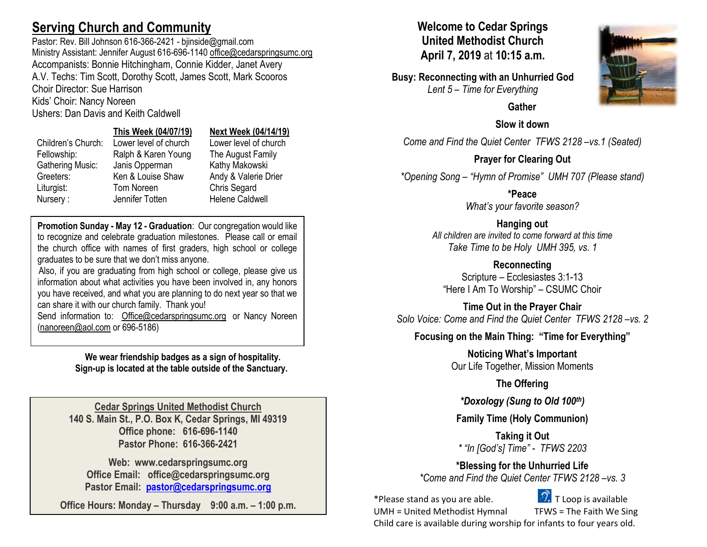# **Serving Church and Community**

Pastor: Rev. Bill Johnson 616-366-2421 - biinside@gmail.com Ministry Assistant: Jennifer August 616-696-1140 [office@cedarspringsumc.org](mailto:office@cedarspringsumc.org) Accompanists: Bonnie Hitchingham, Connie Kidder, Janet Avery A.V. Techs: Tim Scott, Dorothy Scott, James Scott, Mark Scooros Choir Director: Sue Harrison

Kids' Choir: Nancy Noreen

## Ushers: Dan Davis and Keith Caldwell

## **This Week (04/07/19) Next Week (04/14/19)**

| Children's Church:      | Lower level of church | Lower level of church  |
|-------------------------|-----------------------|------------------------|
| Fellowship:             | Ralph & Karen Young   | The August Family      |
| <b>Gathering Music:</b> | Janis Opperman        | Kathy Makowski         |
| Greeters:               | Ken & Louise Shaw     | Andy & Valerie Drier   |
| Liturgist:              | Tom Noreen            | Chris Segard           |
| Nursery:                | Jennifer Totten       | <b>Helene Caldwell</b> |

Children's Church: Lower level of church Lower level of church<br>
Fellowship: Ralph & Karen Young The August Family & Karen Young The August Family

**Promotion Sunday - May 12 - Graduation**: Our congregation would like to recognize and celebrate graduation milestones. Please call or email the church office with names of first graders, high school or college graduates to be sure that we don't miss anyone.

Also, if you are graduating from high school or college, please give us information about what activities you have been involved in, any honors you have received, and what you are planning to do next year so that we can share it with our church family. Thank you!

Send information to: [Office@cedarspringsumc.org](mailto:Office@cedarspringsumc.org) or Nancy Noreen [\(nanoreen@aol.com](mailto:nanoreen@aol.com) or 696-5186)

> **We wear friendship badges as a sign of hospitality. Sign-up is located at the table outside of the Sanctuary.**

**Cedar Springs United Methodist Church 140 S. Main St., P.O. Box K, Cedar Springs, MI 49319 Office phone: 616-696-1140 Pastor Phone: 616-366-2421**

**Web: www.cedarspringsumc.org Office Email: office@cedarspringsumc.org Pastor Email: [pastor@cedarspringsumc.org](mailto:pastor@cedarspringsumc.org)**

**Office Hours: Monday – Thursday 9:00 a.m. – 1:00 p.m.**

## **Welcome to Cedar Springs United Methodist Church April 7, 2019** at **10:15 a.m.**

**Busy: Reconnecting with an Unhurried God** *Lent 5 – Time for Everything*



 **Gather**

**Slow it down**

*Come and Find the Quiet Center TFWS 2128 –vs.1 (Seated)*

**Prayer for Clearing Out** *\*Opening Song – "Hymn of Promise" UMH 707 (Please stand)*

> **\*Peace** *What's your favorite season?*

**Hanging out** *All children are invited to come forward at this time Take Time to be Holy UMH 395, vs. 1*

**Reconnecting** Scripture – Ecclesiastes 3:1-13 "Here I Am To Worship" – CSUMC Choir

**Time Out in the Prayer Chair** *Solo Voice: Come and Find the Quiet Center TFWS 2128 –vs. 2*

## **Focusing on the Main Thing: "Time for Everything"**

**Noticing What's Important** Our Life Together, Mission Moments

**The Offering**

*\*Doxology (Sung to Old 100th)*

**Family Time (Holy Communion)**

**Taking it Out** *\* "In [God's] Time" - TFWS 2203*

**\*Blessing for the Unhurried Life** *\*Come and Find the Quiet Center TFWS 2128 –vs. 3*

\*Please stand as you are able.  $\mathbb{Z}^*$  T Loop is available

UMH = United Methodist Hymnal TFWS = The Faith We Sing Child care is available during worship for infants to four years old.